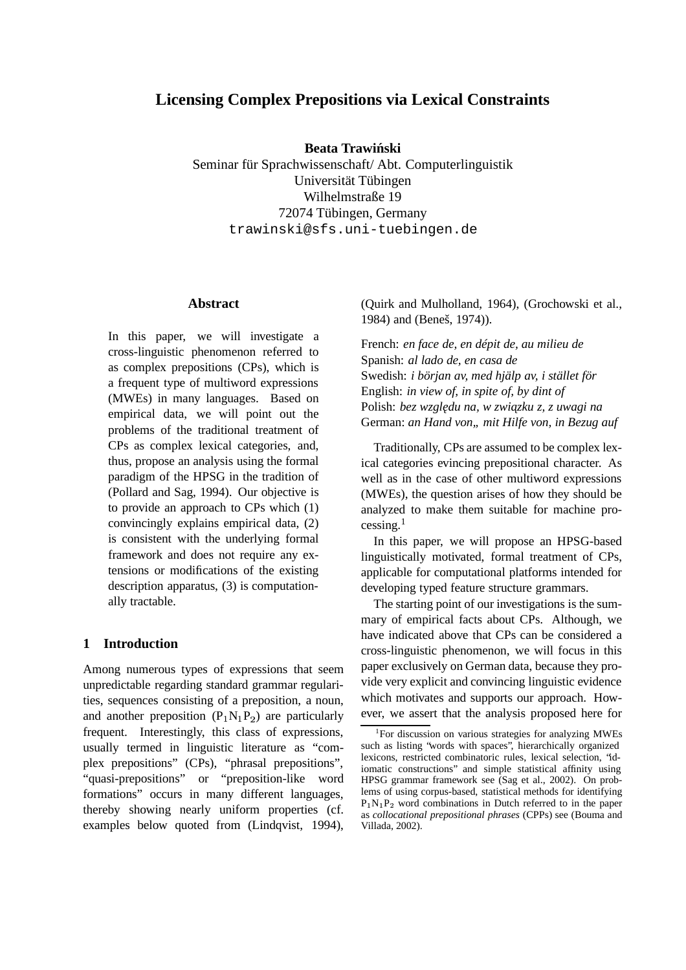# **Licensing Complex Prepositions via Lexical Constraints**

**Beata Trawinski ´**

Seminar für Sprachwissenschaft/ Abt. Computerlinguistik Universität Tübingen Wilhelmstraße 19 72074 Tübingen, Germany trawinski@sfs.uni-tuebingen.de

#### **Abstract**

In this paper, we will investigate a cross-linguistic phenomenon referred to as complex prepositions (CPs), which is a frequent type of multiword expressions (MWEs) in many languages. Based on empirical data, we will point out the problems of the traditional treatment of CPs as complex lexical categories, and, thus, propose an analysis using the formal paradigm of the HPSG in the tradition of (Pollard and Sag, 1994). Our objective is to provide an approach to CPs which (1) convincingly explains empirical data, (2) is consistent with the underlying formal framework and does not require any extensions or modifications of the existing description apparatus, (3) is computationally tractable.

### **1 Introduction**

Among numerous types of expressions that seem unpredictable regarding standard grammar regularities, sequences consisting of a preposition, a noun, and another preposition  $(P_1N_1P_2)$  are particularly frequent. Interestingly, this class of expressions, usually termed in linguistic literature as "complex prepositions" (CPs), "phrasal prepositions", "quasi-prepositions" or "preposition-like word formations" occurs in many different languages, thereby showing nearly uniform properties (cf. examples below quoted from (Lindqvist, 1994), (Quirk and Mulholland, 1964), (Grochowski et al., 1984) and (Beneš, 1974)).

French: *en face de, en dépit de, au milieu de* Spanish: *al lado de, en casa de* Swedish: *i början av, med hjälp av, i stället för* English: *in view of, in spite of, by dint of* Polish: *bez wzgledu ˛ na, w zwiazku ˛ z, z uwagi na* German: *an Hand von" mit Hilfe von, in Bezug auf*

Traditionally, CPs are assumed to be complex lexical categories evincing prepositional character. As well as in the case of other multiword expressions (MWEs), the question arises of how they should be analyzed to make them suitable for machine pro $c$ essing.<sup>1</sup>

In this paper, we will propose an HPSG-based linguistically motivated, formal treatment of CPs, applicable for computational platforms intended for developing typed feature structure grammars.

The starting point of our investigations is the summary of empirical facts about CPs. Although, we have indicated above that CPs can be considered a cross-linguistic phenomenon, we will focus in this paper exclusively on German data, because they provide very explicit and convincing linguistic evidence which motivates and supports our approach. However, we assert that the analysis proposed here for

<sup>&</sup>lt;sup>1</sup>For discussion on various strategies for analyzing MWEs such as listing "words with spaces", hierarchically organized lexicons, restricted combinatoric rules, lexical selection, "idiomatic constructions" and simple statistical affinity using HPSG grammar framework see (Sag et al., 2002). On problems of using corpus-based, statistical methods for identifying  $P_1N_1P_2$  word combinations in Dutch referred to in the paper as *collocational prepositional phrases* (CPPs) see (Bouma and Villada, 2002).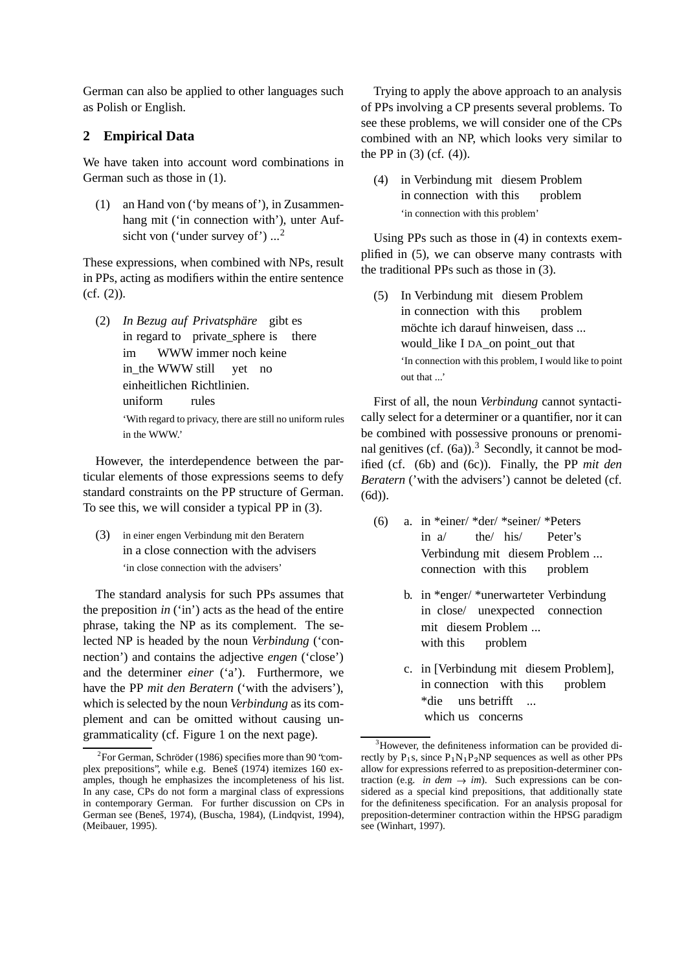German can also be applied to other languages such as Polish or English.

### **2 Empirical Data**

We have taken into account word combinations in German such as those in (1).

(1) an Hand von ('by means of'), in Zusammenhang mit ('in connection with'), unter Aufsicht von ('under survey of')  $\ldots$ <sup>2</sup>

These expressions, when combined with NPs, result in PPs, acting as modifiers within the entire sentence (cf. (2)).

(2) *In Bezug auf Privatsphäre* gibt es in regard to private\_sphere is there im in\_the WWW still WWW immer noch keine yet no einheitlichen Richtlinien. uniform rules 'With regard to privacy, there are still no uniform rules in the WWW.'

However, the interdependence between the particular elements of those expressions seems to defy standard constraints on the PP structure of German. To see this, we will consider a typical PP in (3).

(3) in einer engen Verbindung mit den Beratern in a close connection with the advisers 'in close connection with the advisers'

The standard analysis for such PPs assumes that the preposition *in* ('in') acts as the head of the entire phrase, taking the NP as its complement. The selected NP is headed by the noun *Verbindung* ('connection') and contains the adjective *engen* ('close') and the determiner *einer* ('a'). Furthermore, we have the PP *mit den Beratern* ('with the advisers'), which is selected by the noun *Verbindung* as its complement and can be omitted without causing ungrammaticality (cf. Figure 1 on the next page).

Trying to apply the above approach to an analysis of PPs involving a CP presents several problems. To see these problems, we will consider one of the CPs combined with an NP, which looks very similar to the PP in  $(3)$  (cf.  $(4)$ ).

(4) in Verbindung mit diesem Problem in connection with this problem 'in connection with this problem'

Using PPs such as those in (4) in contexts exemplified in (5), we can observe many contrasts with the traditional PPs such as those in (3).

 $(5)$ in connection with this Verbindung mit diesem Problem problem möchte ich darauf hinweisen, dass ... would\_like I DA\_on point\_out that 'In connection with this problem, I would like to point out that ...'

First of all, the noun *Verbindung* cannot syntactically select for a determiner or a quantifier, nor it can be combined with possessive pronouns or prenominal genitives (cf.  $(6a)$ ).<sup>3</sup> Secondly, it cannot be modified (cf. (6b) and (6c)). Finally, the PP *mit den Beratern* ('with the advisers') cannot be deleted (cf. (6d)).

- (6) a. in \*einer/ \*der/ \*seiner/ \*Peters in a/ the/ his/ Peter's Verbindung mit diesem Problem ... connection with this problem
	- b. in \*enger/ \*unerwarteter Verbindung in close/ unexpected connection mit diesem Problem ... with this problem
	- c. in [Verbindung mit diesem Problem], in connection with this problem \*die which us concerns uns betrifft ...

<sup>&</sup>lt;sup>2</sup>For German, Schröder (1986) specifies more than 90 'complex prepositions", while e.g. Beneš (1974) itemizes 160 examples, though he emphasizes the incompleteness of his list. In any case, CPs do not form a marginal class of expressions in contemporary German. For further discussion on CPs in German see (Beneš, 1974), (Buscha, 1984), (Lindqvist, 1994), (Meibauer, 1995).

<sup>&</sup>lt;sup>3</sup>However, the definiteness information can be provided directly by  $P_1s$ , since  $P_1N_1P_2NP$  sequences as well as other PPs allow for expressions referred to as preposition-determiner contraction (e.g. *in dem*  $\rightarrow$  *im*). Such expressions can be considered as a special kind prepositions, that additionally state for the definiteness specification. For an analysis proposal for preposition-determiner contraction within the HPSG paradigm see (Winhart, 1997).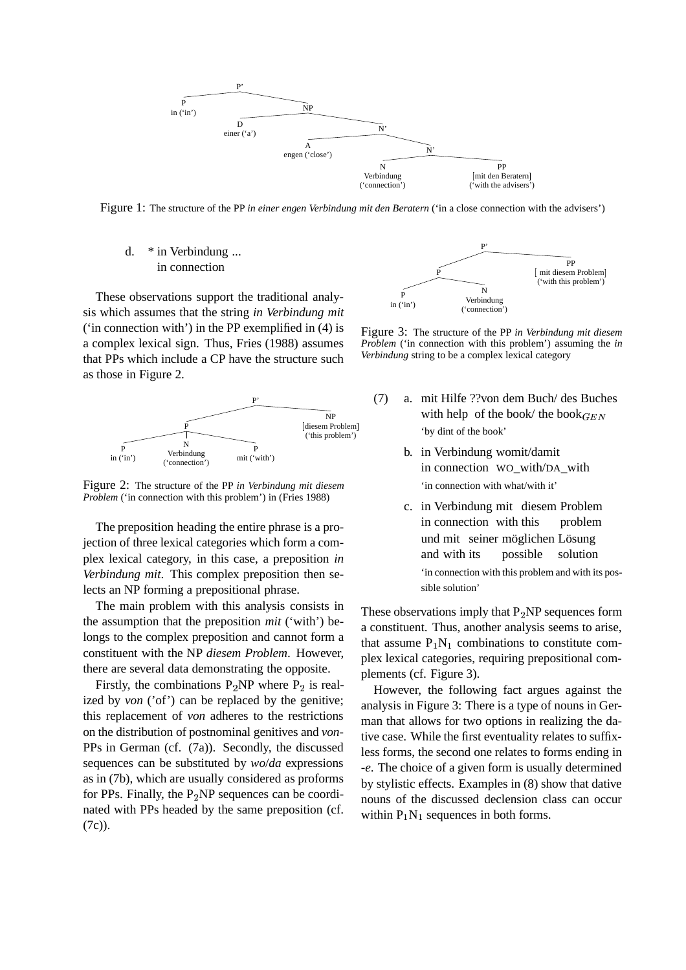

Figure 1: The structure of the PP *in einer engen Verbindung mit den Beratern* ('in a close connection with the advisers')

d. \* in Verbindung ... in connection

These observations support the traditional analysis which assumes that the string *in Verbindung mit* ('in connection with') in the PP exemplified in (4) is a complex lexical sign. Thus, Fries (1988) assumes that PPs which include a CP have the structure such as those in Figure 2.



Figure 2: The structure of the PP *in Verbindung mit diesem Problem* ('in connection with this problem') in (Fries 1988)

The preposition heading the entire phrase is a projection of three lexical categories which form a complex lexical category, in this case, a preposition *in Verbindung mit*. This complex preposition then selects an NP forming a prepositional phrase.

The main problem with this analysis consists in the assumption that the preposition *mit* ('with') belongs to the complex preposition and cannot form a constituent with the NP *diesem Problem*. However, there are several data demonstrating the opposite.

Firstly, the combinations  $P_2 NP$  where  $P_2$  is realized by *von* ('of') can be replaced by the genitive; this replacement of *von* adheres to the restrictions on the distribution of postnominal genitives and *von*-PPs in German (cf. (7a)). Secondly, the discussed sequences can be substituted by *wo*/*da* expressions as in (7b), which are usually considered as proforms for PPs. Finally, the  $P_2$ NP sequences can be coordinated with PPs headed by the same preposition (cf. (7c)).



Figure 3: The structure of the PP *in Verbindung mit diesem Problem* ('in connection with this problem') assuming the *in Verbindung* string to be a complex lexical category

- (7) a. mit Hilfe ??von dem Buch/ des Buches with help of the book/ the book $_{GEN}$ 'by dint of the book'
	- b. in Verbindung womit/damit in connection WO\_with/DA\_with 'in connection with what/with it'
	- c. in Verbindung mit diesem Problem in connection with this problem und mit seiner möglichen Lösung and with its possible solution 'in connection with this problem and with its possible solution'

These observations imply that  $P_2NP$  sequences form a constituent. Thus, another analysis seems to arise, that assume  $P_1N_1$  combinations to constitute complex lexical categories, requiring prepositional complements (cf. Figure 3).

However, the following fact argues against the analysis in Figure 3: There is a type of nouns in German that allows for two options in realizing the dative case. While the first eventuality relates to suffixless forms, the second one relates to forms ending in *-e*. The choice of a given form is usually determined by stylistic effects. Examples in (8) show that dative nouns of the discussed declension class can occur within  $P_1N_1$  sequences in both forms.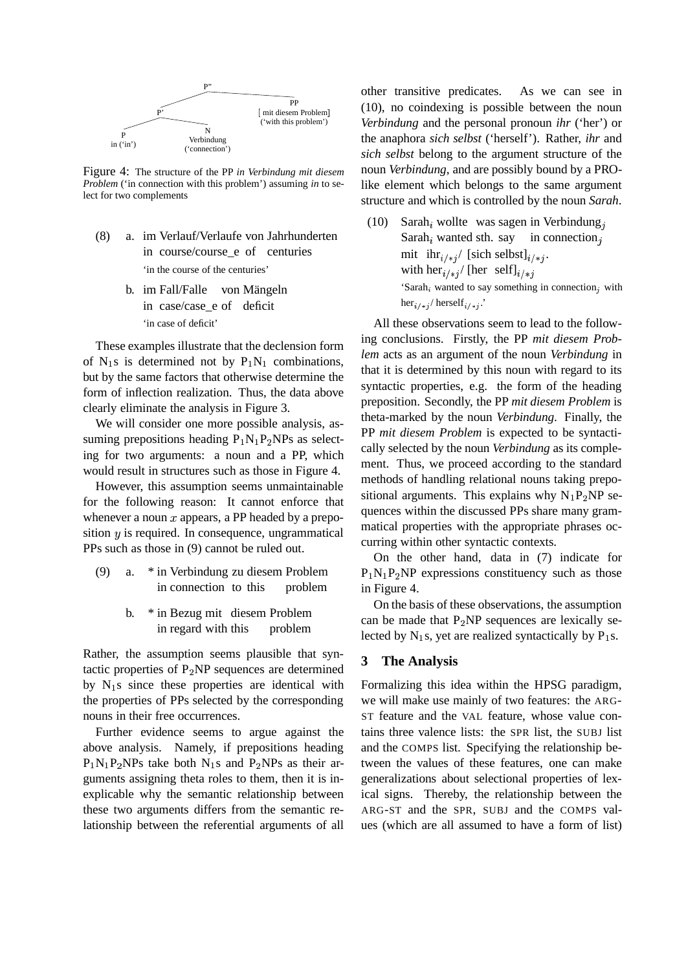

Figure 4: The structure of the PP *in Verbindung mit diesem Problem* ('in connection with this problem') assuming *in* to select for two complements

- (8) a. im Verlauf/Verlaufe von Jahrhunderten in course/course\_e of centuries 'in the course of the centuries'
	- b. im Fall/Falle von Mängeln in case/case\_e of deficit 'in case of deficit'

These examples illustrate that the declension form of  $N_1$ s is determined not by  $P_1N_1$  combinations, but by the same factors that otherwise determine the form of inflection realization. Thus, the data above clearly eliminate the analysis in Figure 3.

We will consider one more possible analysis, assuming prepositions heading  $P_1N_1P_2NPs$  as selecting for two arguments: a noun and a PP, which would result in structures such as those in Figure 4.

However, this assumption seems unmaintainable for the following reason: It cannot enforce that whenever a noun  $x$  appears, a PP headed by a preposition  $y$  is required. In consequence, ungrammatical PPs such as those in (9) cannot be ruled out.

- (9) a. \* in Verbindung zu diesem Problem in connection to this problem
	- b. \* in Bezug mit diesem Problem in regard with this problem

Rather, the assumption seems plausible that syntactic properties of  $P_2$ NP sequences are determined by  $N_1$ s since these properties are identical with the properties of PPs selected by the corresponding nouns in their free occurrences.

Further evidence seems to argue against the above analysis. Namely, if prepositions heading  $P_1N_1P_2NPs$  take both  $N_1s$  and  $P_2NPs$  as their arguments assigning theta roles to them, then it is inexplicable why the semantic relationship between these two arguments differs from the semantic relationship between the referential arguments of all other transitive predicates. As we can see in (10), no coindexing is possible between the noun *Verbindung* and the personal pronoun *ihr* ('her') or the anaphora *sich selbst* ('herself'). Rather, *ihr* and *sich selbst* belong to the argument structure of the noun *Verbindung*, and are possibly bound by a PROlike element which belongs to the same argument structure and which is controlled by the noun *Sarah*.

(10) Sarah<sub>i</sub> wollte was sagen in Verbindung<sub>i</sub> Sarah $_i$  wanted sth. say in connection, mit  $\int \frac{1}{i^2}$  [sich selbst] $\int \frac{1}{i^2}$ . with  $\text{her}_{i \neq j}$  [her self] $_{i \neq j}$ 'Sarah, wanted to say something in connection, with  $\text{her}_{i \neq j}$  herself<sub>i/\*j</sub>.'

All these observations seem to lead to the following conclusions. Firstly, the PP *mit diesem Problem* acts as an argument of the noun *Verbindung* in that it is determined by this noun with regard to its syntactic properties, e.g. the form of the heading preposition. Secondly, the PP *mit diesem Problem* is theta-marked by the noun *Verbindung*. Finally, the PP *mit diesem Problem* is expected to be syntactically selected by the noun *Verbindung* as its complement. Thus, we proceed according to the standard methods of handling relational nouns taking prepositional arguments. This explains why  $N_1P_2NP$  sequences within the discussed PPs share many grammatical properties with the appropriate phrases occurring within other syntactic contexts.

On the other hand, data in (7) indicate for  $P_1N_1P_2NP$  expressions constituency such as those in Figure 4.

On the basis of these observations, the assumption can be made that  $P_2NP$  sequences are lexically selected by  $N_1$ s, yet are realized syntactically by  $P_1$ s.

#### **3 The Analysis**

Formalizing this idea within the HPSG paradigm, we will make use mainly of two features: the ARG-ST feature and the VAL feature, whose value contains three valence lists: the SPR list, the SUBJ list and the COMPS list. Specifying the relationship between the values of these features, one can make generalizations about selectional properties of lexical signs. Thereby, the relationship between the ARG-ST and the SPR, SUBJ and the COMPS values (which are all assumed to have a form of list)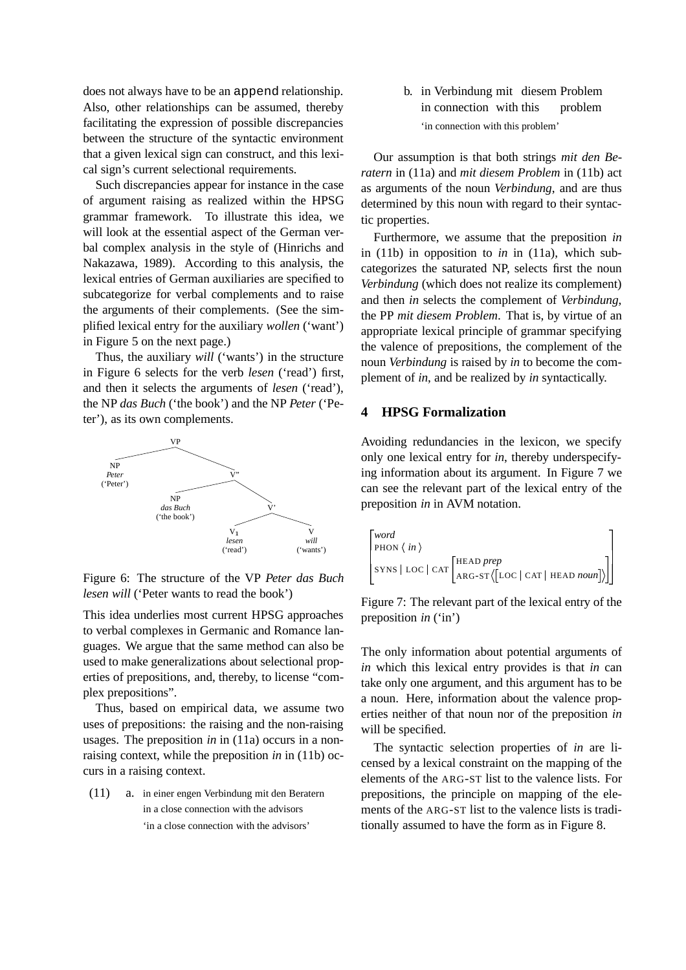does not always have to be an append relationship. Also, other relationships can be assumed, thereby facilitating the expression of possible discrepancies between the structure of the syntactic environment that a given lexical sign can construct, and this lexical sign's current selectional requirements.

Such discrepancies appear for instance in the case of argument raising as realized within the HPSG grammar framework. To illustrate this idea, we will look at the essential aspect of the German verbal complex analysis in the style of (Hinrichs and Nakazawa, 1989). According to this analysis, the lexical entries of German auxiliaries are specified to subcategorize for verbal complements and to raise the arguments of their complements. (See the simplified lexical entry for the auxiliary *wollen* ('want') in Figure 5 on the next page.)

Thus, the auxiliary *will* ('wants') in the structure in Figure 6 selects for the verb *lesen* ('read') first, and then it selects the arguments of *lesen* ('read'), the NP *das Buch* ('the book') and the NP *Peter* ('Peter'), as its own complements.



Figure 6: The structure of the VP *Peter das Buch lesen will* ('Peter wants to read the book')

This idea underlies most current HPSG approaches to verbal complexes in Germanic and Romance languages. We argue that the same method can also be used to make generalizations about selectional properties of prepositions, and, thereby, to license "complex prepositions".

Thus, based on empirical data, we assume two uses of prepositions: the raising and the non-raising usages. The preposition *in* in (11a) occurs in a nonraising context, while the preposition *in* in (11b) occurs in a raising context.

(11) a. in einer engen Verbindung mit den Beratern in a close connection with the advisors 'in a close connection with the advisors'

b. in Verbindung mit diesem Problem in connection with this problem 'in connection with this problem'

Our assumption is that both strings *mit den Beratern* in (11a) and *mit diesem Problem* in (11b) act as arguments of the noun *Verbindung*, and are thus determined by this noun with regard to their syntactic properties.

Furthermore, we assume that the preposition *in* in (11b) in opposition to *in* in (11a), which subcategorizes the saturated NP, selects first the noun *Verbindung* (which does not realize its complement) and then *in* selects the complement of *Verbindung*, the PP *mit diesem Problem*. That is, by virtue of an appropriate lexical principle of grammar specifying the valence of prepositions, the complement of the noun *Verbindung* is raised by *in* to become the complement of *in*, and be realized by *in* syntactically.

# **4 HPSG Formalization**

Avoiding redundancies in the lexicon, we specify only one lexical entry for *in*, thereby underspecifying information about its argument. In Figure 7 we can see the relevant part of the lexical entry of the preposition *in* in AVM notation.

$$
\begin{bmatrix} word \\ \text{PHON} \langle in \rangle \\ \text{SYNS} | \text{LOC} | \text{CAT} \begin{bmatrix} \text{HEAD } prep \\ \text{ARG-ST} \langle \text{LOC} | \text{CAT} | \text{ HEAD } noun \end{bmatrix} \rangle \end{bmatrix}
$$

Figure 7: The relevant part of the lexical entry of the preposition *in* ('in')

The only information about potential arguments of *in* which this lexical entry provides is that *in* can take only one argument, and this argument has to be a noun. Here, information about the valence properties neither of that noun nor of the preposition *in* will be specified.

The syntactic selection properties of *in* are licensed by a lexical constraint on the mapping of the elements of the ARG-ST list to the valence lists. For prepositions, the principle on mapping of the elements of the ARG-ST list to the valence lists is traditionally assumed to have the form as in Figure 8.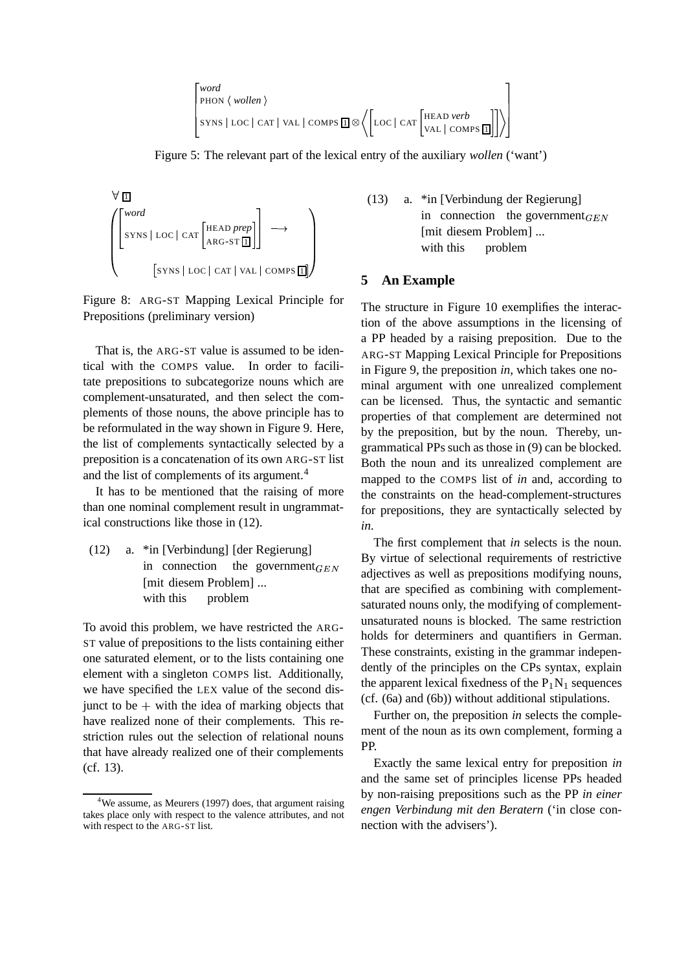```
. . .

 word
 PHON  wollen 
 SYNS | LOC | CAT | VAL | COMPS <u>| 1</u> | ⊗ ( | LOC | CAT |

                                                                    \bigg| LOC \bigg| CAT \bigg| HEAD verb
                                                                                         VAL | COMPS <u>[1</u>] | / |
                                                                                                                         ٦.
                                                                                                                         the contract of the contract of the contract of the contract of the contract of the contract of the contract of
```
Figure 5: The relevant part of the lexical entry of the auxiliary *wollen* ('want')



Figure 8: ARG-ST Mapping Lexical Principle for Prepositions (preliminary version)

That is, the ARG-ST value is assumed to be identical with the COMPS value. In order to facilitate prepositions to subcategorize nouns which are complement-unsaturated, and then select the complements of those nouns, the above principle has to be reformulated in the way shown in Figure 9. Here, the list of complements syntactically selected by a preposition is a concatenation of its own ARG-ST list and the list of complements of its argument.<sup>4</sup>

It has to be mentioned that the raising of more than one nominal complement result in ungrammatical constructions like those in (12).

(12) a. \*in [Verbindung] [der Regierung] in connection the government [mit diesem Problem] ... with this problem

To avoid this problem, we have restricted the ARG-ST value of prepositions to the lists containing either one saturated element, or to the lists containing one element with a singleton COMPS list. Additionally, we have specified the LEX value of the second disjunct to be  $+$  with the idea of marking objects that have realized none of their complements. This restriction rules out the selection of relational nouns that have already realized one of their complements (cf. 13).

(13) a. \*in [Verbindung der Regierung] in connection the government $_{GEN}$ [mit diesem Problem] ... with this problem

#### **5 An Example**

The structure in Figure 10 exemplifies the interaction of the above assumptions in the licensing of a PP headed by a raising preposition. Due to the ARG-ST Mapping Lexical Principle for Prepositions in Figure 9, the preposition *in*, which takes one nominal argument with one unrealized complement can be licensed. Thus, the syntactic and semantic properties of that complement are determined not by the preposition, but by the noun. Thereby, ungrammatical PPs such as those in (9) can be blocked. Both the noun and its unrealized complement are mapped to the COMPS list of *in* and, according to the constraints on the head-complement-structures for prepositions, they are syntactically selected by *in*.

 $G^{LIN}$  adjectives as well as prepositions modifying nouns, The first complement that *in* selects is the noun. By virtue of selectional requirements of restrictive that are specified as combining with complementsaturated nouns only, the modifying of complementunsaturated nouns is blocked. The same restriction holds for determiners and quantifiers in German. These constraints, existing in the grammar independently of the principles on the CPs syntax, explain the apparent lexical fixedness of the  $P_1N_1$  sequences (cf. (6a) and (6b)) without additional stipulations.

> Further on, the preposition *in* selects the complement of the noun as its own complement, forming a PP.

> Exactly the same lexical entry for preposition *in* and the same set of principles license PPs headed by non-raising prepositions such as the PP *in einer engen Verbindung mit den Beratern* ('in close connection with the advisers').

 $4$ We assume, as Meurers (1997) does, that argument raising takes place only with respect to the valence attributes, and not with respect to the ARG-ST list.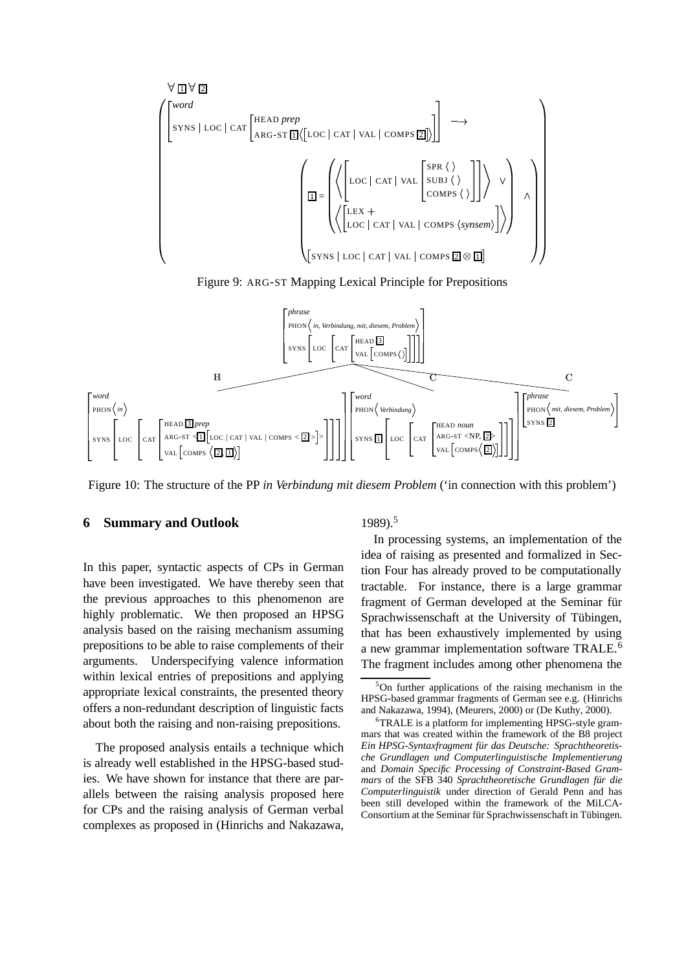$$
\sqrt{\frac{1}{2}} \left\{\n\begin{bmatrix}\n\text{word} \\
\text{syns} | \text{loc} | \text{car}\n\end{bmatrix}\n\begin{bmatrix}\n\text{HEAD prep} \\
\text{ARG-ST}\n\end{bmatrix}\n\left(\n\begin{bmatrix}\n\text{LOC} | \text{CAT} | \text{VAL} | \text{ COMPS}\n\end{bmatrix}\n\right)\n\right\}\n\right\}\n\right\}
$$
\n
$$
\sqrt{\frac{1}{2}} = \sqrt{\left\{\n\begin{bmatrix}\n\text{LOC} | \text{CAT} | \text{VAL} | \text{ COMPS} \langle \rangle \\
\text{LOC} | \text{CAT} | \text{VAL} | \text{ COMPS} \langle \rangle\n\end{bmatrix}\n\right\}\n\right\}\n\right\}
$$
\n
$$
\sqrt{\frac{1}{2}} = \sqrt{\left\{\n\begin{bmatrix}\n\text{LEX} + \\
\text{LOC} | \text{CAT} | \text{VAL} | \text{ COMPS} \langle \text{synsem} \rangle\n\end{bmatrix}\n\right\}\n\right\}
$$

Figure 9: ARG-ST Mapping Lexical Principle for Prepositions



Figure 10: The structure of the PP *in Verbindung mit diesem Problem* ('in connection with this problem')

#### **6 Summary and Outlook**

In this paper, syntactic aspects of CPs in German have been investigated. We have thereby seen that the previous approaches to this phenomenon are highly problematic. We then proposed an HPSG analysis based on the raising mechanism assuming prepositions to be able to raise complements of their arguments. Underspecifying valence information within lexical entries of prepositions and applying appropriate lexical constraints, the presented theory offers a non-redundant description of linguistic facts about both the raising and non-raising prepositions.

The proposed analysis entails a technique which is already well established in the HPSG-based studies. We have shown for instance that there are parallels between the raising analysis proposed here for CPs and the raising analysis of German verbal complexes as proposed in (Hinrichs and Nakazawa, 1989).<sup>5</sup>

In processing systems, an implementation of the idea of raising as presented and formalized in Section Four has already proved to be computationally tractable. For instance, there is a large grammar fragment of German developed at the Seminar für Sprachwissenschaft at the University of Tübingen, that has been exhaustively implemented by using a new grammar implementation software TRALE.<sup>6</sup> The fragment includes among other phenomena the

<sup>5</sup>On further applications of the raising mechanism in the HPSG-based grammar fragments of German see e.g. (Hinrichs and Nakazawa, 1994), (Meurers, 2000) or (De Kuthy, 2000).

<sup>&</sup>lt;sup>6</sup>TRALE is a platform for implementing HPSG-style grammars that was created within the framework of the B8 project *Ein HPSG-Syntaxfragment für das Deutsche: Sprachtheoretische Grundlagen und Computerlinguistische Implementierung* and *Domain Specific Processing of Constraint-Based Grammars* of the SFB 340 *Sprachtheoretische Grundlagen für die Computerlinguistik* under direction of Gerald Penn and has been still developed within the framework of the MiLCA-Consortium at the Seminar für Sprachwissenschaft in Tübingen.